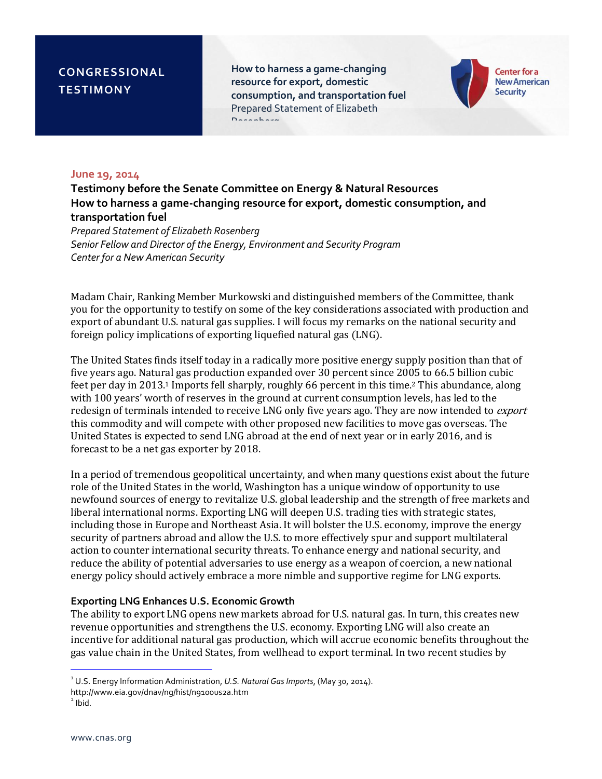**How to harness a game-changing resource for export, domestic consumption, and transportation fuel** Prepared Statement of Elizabeth Rosenberg



#### **June 19, 2014**

**Testimony before the Senate Committee on Energy & Natural Resources How to harness a game-changing resource for export, domestic consumption, and transportation fuel**

*Prepared Statement of Elizabeth Rosenberg Senior Fellow and Director of the Energy, Environment and Security Program Center for a New American Security*

Madam Chair, Ranking Member Murkowski and distinguished members of the Committee, thank you for the opportunity to testify on some of the key considerations associated with production and export of abundant U.S. natural gas supplies. I will focus my remarks on the national security and foreign policy implications of exporting liquefied natural gas (LNG).

The United States finds itself today in a radically more positive energy supply position than that of five years ago. Natural gas production expanded over 30 percent since 2005 to 66.5 billion cubic feet per day in 2013.<sup>1</sup> Imports fell sharply, roughly 66 percent in this time.<sup>2</sup> This abundance, along with 100 years' worth of reserves in the ground at current consumption levels, has led to the redesign of terminals intended to receive LNG only five years ago. They are now intended to export this commodity and will compete with other proposed new facilities to move gas overseas. The United States is expected to send LNG abroad at the end of next year or in early 2016, and is forecast to be a net gas exporter by 2018.

In a period of tremendous geopolitical uncertainty, and when many questions exist about the future role of the United States in the world, Washington has a unique window of opportunity to use newfound sources of energy to revitalize U.S. global leadership and the strength of free markets and liberal international norms. Exporting LNG will deepen U.S. trading ties with strategic states, including those in Europe and Northeast Asia. It will bolster the U.S. economy, improve the energy security of partners abroad and allow the U.S. to more effectively spur and support multilateral action to counter international security threats. To enhance energy and national security, and reduce the ability of potential adversaries to use energy as a weapon of coercion, a new national energy policy should actively embrace a more nimble and supportive regime for LNG exports.

#### **Exporting LNG Enhances U.S. Economic Growth**

The ability to export LNG opens new markets abroad for U.S. natural gas. In turn, this creates new revenue opportunities and strengthens the U.S. economy. Exporting LNG will also create an incentive for additional natural gas production, which will accrue economic benefits throughout the gas value chain in the United States, from wellhead to export terminal. In two recent studies by

l

<sup>1</sup> U.S. Energy Information Administration, *U.S. Natural Gas Imports*, (May 30, 2014).

http://www.eia.gov/dnav/ng/hist/n9100us2a.htm

 $2$  Ibid.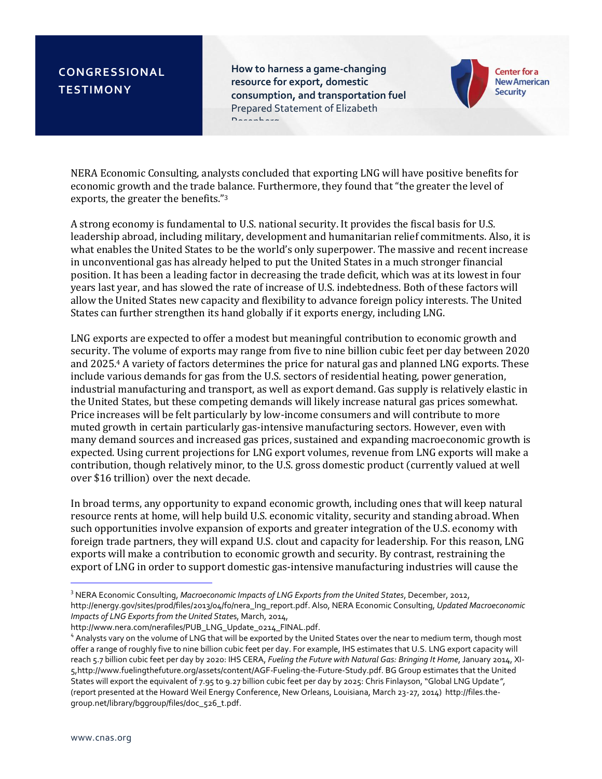**How to harness a game-changing resource for export, domestic consumption, and transportation fuel** Prepared Statement of Elizabeth Rosenberg



NERA Economic Consulting, analysts concluded that exporting LNG will have positive benefits for economic growth and the trade balance. Furthermore, they found that "the greater the level of exports, the greater the benefits."<sup>3</sup>

A strong economy is fundamental to U.S. national security. It provides the fiscal basis for U.S. leadership abroad, including military, development and humanitarian relief commitments. Also, it is what enables the United States to be the world's only superpower. The massive and recent increase in unconventional gas has already helped to put the United States in a much stronger financial position. It has been a leading factor in decreasing the trade deficit, which was at its lowest in four years last year, and has slowed the rate of increase of U.S. indebtedness. Both of these factors will allow the United States new capacity and flexibility to advance foreign policy interests. The United States can further strengthen its hand globally if it exports energy, including LNG.

LNG exports are expected to offer a modest but meaningful contribution to economic growth and security. The volume of exports may range from five to nine billion cubic feet per day between 2020 and 2025.<sup>4</sup> A variety of factors determines the price for natural gas and planned LNG exports. These include various demands for gas from the U.S. sectors of residential heating, power generation, industrial manufacturing and transport, as well as export demand. Gas supply is relatively elastic in the United States, but these competing demands will likely increase natural gas prices somewhat. Price increases will be felt particularly by low-income consumers and will contribute to more muted growth in certain particularly gas-intensive manufacturing sectors. However, even with many demand sources and increased gas prices, sustained and expanding macroeconomic growth is expected. Using current projections for LNG export volumes, revenue from LNG exports will make a contribution, though relatively minor, to the U.S. gross domestic product (currently valued at well over \$16 trillion) over the next decade.

In broad terms, any opportunity to expand economic growth, including ones that will keep natural resource rents at home, will help build U.S. economic vitality, security and standing abroad. When such opportunities involve expansion of exports and greater integration of the U.S. economy with foreign trade partners, they will expand U.S. clout and capacity for leadership. For this reason, LNG exports will make a contribution to economic growth and security. By contrast, restraining the export of LNG in order to support domestic gas-intensive manufacturing industries will cause the

[http://www.nera.com/nerafiles/PUB\\_LNG\\_Update\\_0214\\_FINAL.pdf.](http://www.nera.com/nerafiles/PUB_LNG_Update_0214_FINAL.pdf) 

j

<sup>3</sup> NERA Economic Consulting, *Macroeconomic Impacts of LNG Exports from the United States*, December, 2012, [http://energy.gov/sites/prod/files/2013/04/f0/nera\\_lng\\_report.pdf.](http://energy.gov/sites/prod/files/2013/04/f0/nera_lng_report.pdf) Also, NERA Economic Consulting, *Updated Macroeconomic Impacts of LNG Exports from the United State*s, March, 2014,

<sup>4</sup> Analysts vary on the volume of LNG that will be exported by the United States over the near to medium term, though most offer a range of roughly five to nine billion cubic feet per day. For example, IHS estimates that U.S. LNG export capacity will reach 5.7 billion cubic feet per day by 2020: IHS CERA, *Fueling the Future with Natural Gas: Bringing It Home*, January 2014, XI-[5,http://www.fuelingthefuture.org/assets/content/AGF-Fueling-the-Future-Study.pdf.](http://www.fuelingthefuture.org/assets/content/AGF-Fueling-the-Future-Study.pdf) BG Group estimates that the United States will export the equivalent of 7.95 to 9.27 billion cubic feet per day by 2025: Chris Finlayson, "Global LNG Update*"*, (report presented at the Howard Weil Energy Conference, New Orleans, Louisiana, March 23-27, 2014) [http://files.the](http://files.the-group.net/library/bggroup/files/doc_526_t.pdf)[group.net/library/bggroup/files/doc\\_526\\_t.pdf.](http://files.the-group.net/library/bggroup/files/doc_526_t.pdf)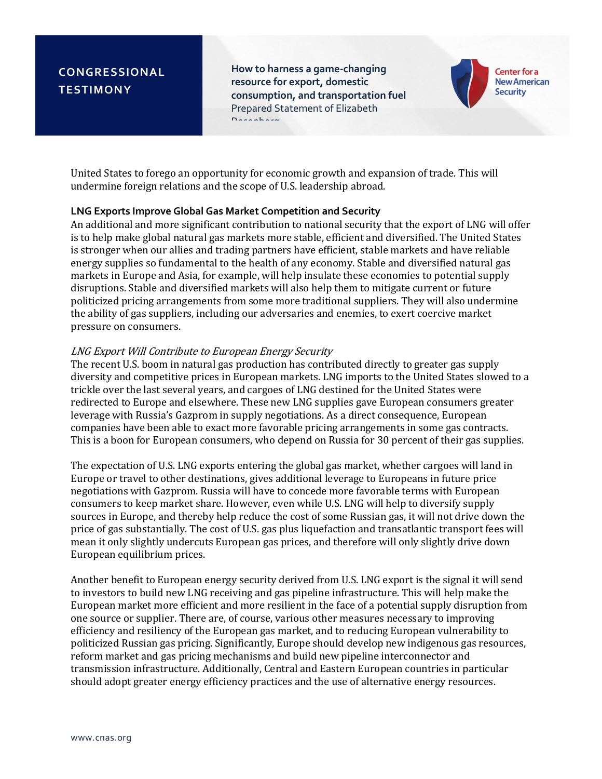**How to harness a game-changing resource for export, domestic consumption, and transportation fuel** Prepared Statement of Elizabeth Rosenberg



United States to forego an opportunity for economic growth and expansion of trade. This will undermine foreign relations and the scope of U.S. leadership abroad.

### **LNG Exports Improve Global Gas Market Competition and Security**

An additional and more significant contribution to national security that the export of LNG will offer is to help make global natural gas markets more stable, efficient and diversified. The United States is stronger when our allies and trading partners have efficient, stable markets and have reliable energy supplies so fundamental to the health of any economy. Stable and diversified natural gas markets in Europe and Asia, for example, will help insulate these economies to potential supply disruptions. Stable and diversified markets will also help them to mitigate current or future politicized pricing arrangements from some more traditional suppliers. They will also undermine the ability of gas suppliers, including our adversaries and enemies, to exert coercive market pressure on consumers.

### LNG Export Will Contribute to European Energy Security

The recent U.S. boom in natural gas production has contributed directly to greater gas supply diversity and competitive prices in European markets. LNG imports to the United States slowed to a trickle over the last several years, and cargoes of LNG destined for the United States were redirected to Europe and elsewhere. These new LNG supplies gave European consumers greater leverage with Russia's Gazprom in supply negotiations. As a direct consequence, European companies have been able to exact more favorable pricing arrangements in some gas contracts. This is a boon for European consumers, who depend on Russia for 30 percent of their gas supplies.

The expectation of U.S. LNG exports entering the global gas market, whether cargoes will land in Europe or travel to other destinations, gives additional leverage to Europeans in future price negotiations with Gazprom. Russia will have to concede more favorable terms with European consumers to keep market share. However, even while U.S. LNG will help to diversify supply sources in Europe, and thereby help reduce the cost of some Russian gas, it will not drive down the price of gas substantially. The cost of U.S. gas plus liquefaction and transatlantic transport fees will mean it only slightly undercuts European gas prices, and therefore will only slightly drive down European equilibrium prices.

Another benefit to European energy security derived from U.S. LNG export is the signal it will send to investors to build new LNG receiving and gas pipeline infrastructure. This will help make the European market more efficient and more resilient in the face of a potential supply disruption from one source or supplier. There are, of course, various other measures necessary to improving efficiency and resiliency of the European gas market, and to reducing European vulnerability to politicized Russian gas pricing. Significantly, Europe should develop new indigenous gas resources, reform market and gas pricing mechanisms and build new pipeline interconnector and transmission infrastructure. Additionally, Central and Eastern European countries in particular should adopt greater energy efficiency practices and the use of alternative energy resources.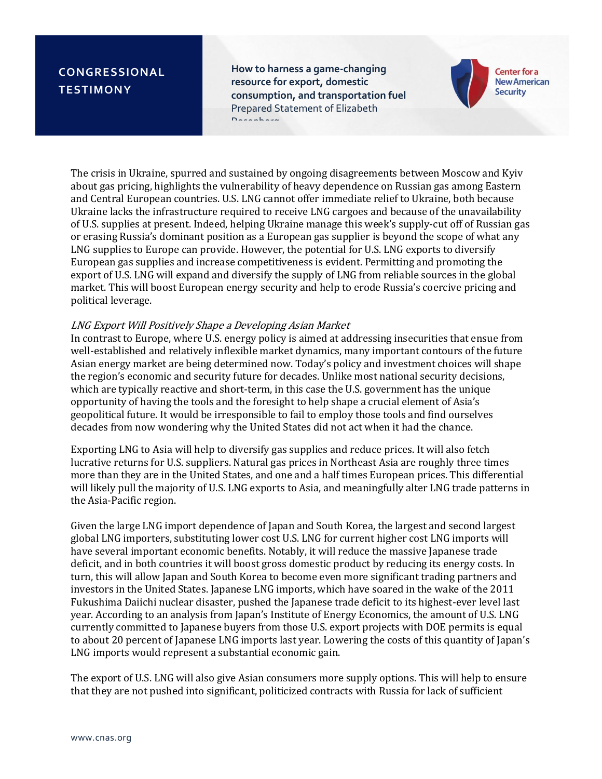**How to harness a game-changing resource for export, domestic consumption, and transportation fuel** Prepared Statement of Elizabeth Rosenberg



The crisis in Ukraine, spurred and sustained by ongoing disagreements between Moscow and Kyiv about gas pricing, highlights the vulnerability of heavy dependence on Russian gas among Eastern and Central European countries. U.S. LNG cannot offer immediate relief to Ukraine, both because Ukraine lacks the infrastructure required to receive LNG cargoes and because of the unavailability of U.S. supplies at present. Indeed, helping Ukraine manage this week's supply-cut off of Russian gas or erasing Russia's dominant position as a European gas supplier is beyond the scope of what any LNG supplies to Europe can provide. However, the potential for U.S. LNG exports to diversify European gas supplies and increase competitiveness is evident. Permitting and promoting the export of U.S. LNG will expand and diversify the supply of LNG from reliable sources in the global market. This will boost European energy security and help to erode Russia's coercive pricing and political leverage.

### LNG Export Will Positively Shape a Developing Asian Market

In contrast to Europe, where U.S. energy policy is aimed at addressing insecurities that ensue from well-established and relatively inflexible market dynamics, many important contours of the future Asian energy market are being determined now. Today's policy and investment choices will shape the region's economic and security future for decades. Unlike most national security decisions, which are typically reactive and short-term, in this case the U.S. government has the unique opportunity of having the tools and the foresight to help shape a crucial element of Asia's geopolitical future. It would be irresponsible to fail to employ those tools and find ourselves decades from now wondering why the United States did not act when it had the chance.

Exporting LNG to Asia will help to diversify gas supplies and reduce prices. It will also fetch lucrative returns for U.S. suppliers. Natural gas prices in Northeast Asia are roughly three times more than they are in the United States, and one and a half times European prices. This differential will likely pull the majority of U.S. LNG exports to Asia, and meaningfully alter LNG trade patterns in the Asia-Pacific region.

Given the large LNG import dependence of Japan and South Korea, the largest and second largest global LNG importers, substituting lower cost U.S. LNG for current higher cost LNG imports will have several important economic benefits. Notably, it will reduce the massive Japanese trade deficit, and in both countries it will boost gross domestic product by reducing its energy costs. In turn, this will allow Japan and South Korea to become even more significant trading partners and investors in the United States. Japanese LNG imports, which have soared in the wake of the 2011 Fukushima Daiichi nuclear disaster, pushed the Japanese trade deficit to its highest-ever level last year. According to an analysis from Japan's Institute of Energy Economics, the amount of U.S. LNG currently committed to Japanese buyers from those U.S. export projects with DOE permits is equal to about 20 percent of Japanese LNG imports last year. Lowering the costs of this quantity of Japan's LNG imports would represent a substantial economic gain.

The export of U.S. LNG will also give Asian consumers more supply options. This will help to ensure that they are not pushed into significant, politicized contracts with Russia for lack of sufficient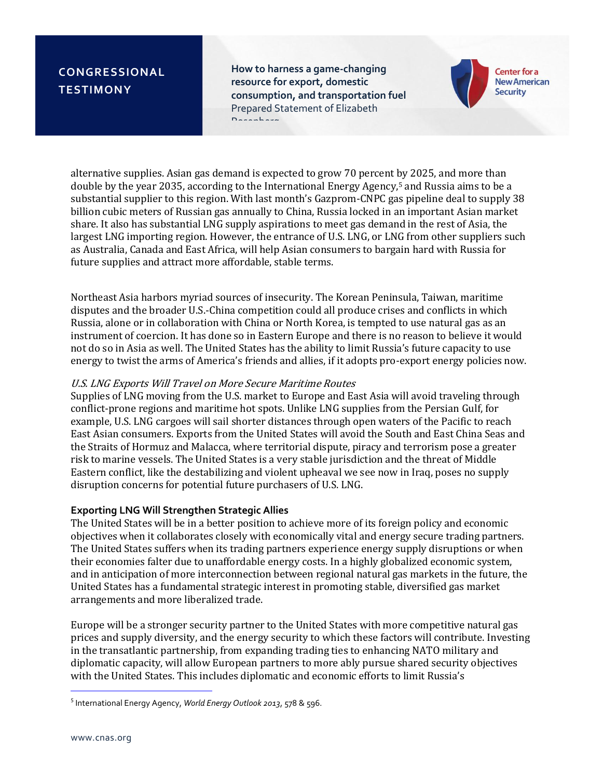**How to harness a game-changing resource for export, domestic consumption, and transportation fuel** Prepared Statement of Elizabeth Rosenberg



alternative supplies. Asian gas demand is expected to grow 70 percent by 2025, and more than double by the year 2035, according to the International Energy Agency,<sup>5</sup> and Russia aims to be a substantial supplier to this region. With last month's Gazprom-CNPC gas pipeline deal to supply 38 billion cubic meters of Russian gas annually to China, Russia locked in an important Asian market share. It also has substantial LNG supply aspirations to meet gas demand in the rest of Asia, the largest LNG importing region. However, the entrance of U.S. LNG, or LNG from other suppliers such as Australia, Canada and East Africa, will help Asian consumers to bargain hard with Russia for future supplies and attract more affordable, stable terms.

Northeast Asia harbors myriad sources of insecurity. The Korean Peninsula, Taiwan, maritime disputes and the broader U.S.-China competition could all produce crises and conflicts in which Russia, alone or in collaboration with China or North Korea, is tempted to use natural gas as an instrument of coercion. It has done so in Eastern Europe and there is no reason to believe it would not do so in Asia as well. The United States has the ability to limit Russia's future capacity to use energy to twist the arms of America's friends and allies, if it adopts pro-export energy policies now.

### U.S. LNG Exports Will Travel on More Secure Maritime Routes

Supplies of LNG moving from the U.S. market to Europe and East Asia will avoid traveling through conflict-prone regions and maritime hot spots. Unlike LNG supplies from the Persian Gulf, for example, U.S. LNG cargoes will sail shorter distances through open waters of the Pacific to reach East Asian consumers. Exports from the United States will avoid the South and East China Seas and the Straits of Hormuz and Malacca, where territorial dispute, piracy and terrorism pose a greater risk to marine vessels. The United States is a very stable jurisdiction and the threat of Middle Eastern conflict, like the destabilizing and violent upheaval we see now in Iraq, poses no supply disruption concerns for potential future purchasers of U.S. LNG.

#### **Exporting LNG Will Strengthen Strategic Allies**

The United States will be in a better position to achieve more of its foreign policy and economic objectives when it collaborates closely with economically vital and energy secure trading partners. The United States suffers when its trading partners experience energy supply disruptions or when their economies falter due to unaffordable energy costs. In a highly globalized economic system, and in anticipation of more interconnection between regional natural gas markets in the future, the United States has a fundamental strategic interest in promoting stable, diversified gas market arrangements and more liberalized trade.

Europe will be a stronger security partner to the United States with more competitive natural gas prices and supply diversity, and the energy security to which these factors will contribute. Investing in the transatlantic partnership, from expanding trading ties to enhancing NATO military and diplomatic capacity, will allow European partners to more ably pursue shared security objectives with the United States. This includes diplomatic and economic efforts to limit Russia's

j

<sup>5</sup> International Energy Agency, *World Energy Outlook 2013*, 578 & 596.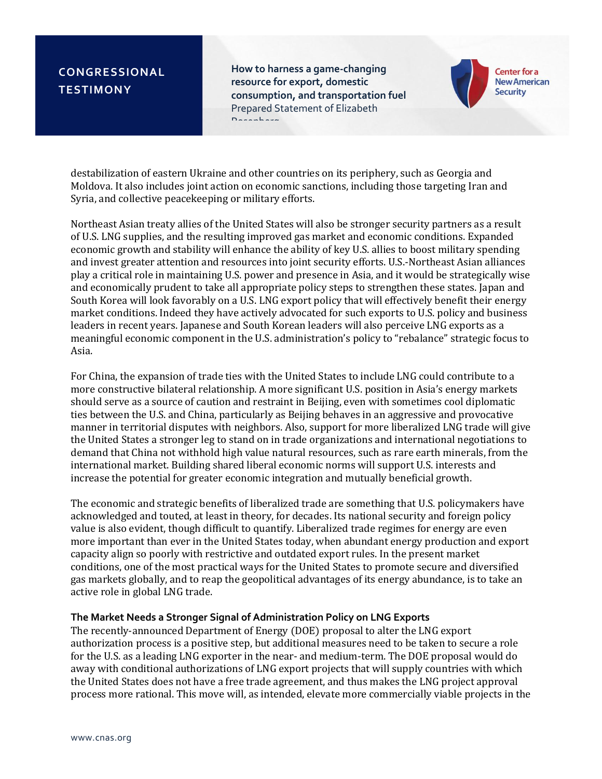**How to harness a game-changing resource for export, domestic consumption, and transportation fuel** Prepared Statement of Elizabeth Rosenberg



destabilization of eastern Ukraine and other countries on its periphery, such as Georgia and Moldova. It also includes joint action on economic sanctions, including those targeting Iran and Syria, and collective peacekeeping or military efforts.

Northeast Asian treaty allies of the United States will also be stronger security partners as a result of U.S. LNG supplies, and the resulting improved gas market and economic conditions. Expanded economic growth and stability will enhance the ability of key U.S. allies to boost military spending and invest greater attention and resources into joint security efforts. U.S.-Northeast Asian alliances play a critical role in maintaining U.S. power and presence in Asia, and it would be strategically wise and economically prudent to take all appropriate policy steps to strengthen these states. Japan and South Korea will look favorably on a U.S. LNG export policy that will effectively benefit their energy market conditions. Indeed they have actively advocated for such exports to U.S. policy and business leaders in recent years. Japanese and South Korean leaders will also perceive LNG exports as a meaningful economic component in the U.S. administration's policy to "rebalance" strategic focus to Asia.

For China, the expansion of trade ties with the United States to include LNG could contribute to a more constructive bilateral relationship. A more significant U.S. position in Asia's energy markets should serve as a source of caution and restraint in Beijing, even with sometimes cool diplomatic ties between the U.S. and China, particularly as Beijing behaves in an aggressive and provocative manner in territorial disputes with neighbors. Also, support for more liberalized LNG trade will give the United States a stronger leg to stand on in trade organizations and international negotiations to demand that China not withhold high value natural resources, such as rare earth minerals, from the international market. Building shared liberal economic norms will support U.S. interests and increase the potential for greater economic integration and mutually beneficial growth.

The economic and strategic benefits of liberalized trade are something that U.S. policymakers have acknowledged and touted, at least in theory, for decades. Its national security and foreign policy value is also evident, though difficult to quantify. Liberalized trade regimes for energy are even more important than ever in the United States today, when abundant energy production and export capacity align so poorly with restrictive and outdated export rules. In the present market conditions, one of the most practical ways for the United States to promote secure and diversified gas markets globally, and to reap the geopolitical advantages of its energy abundance, is to take an active role in global LNG trade.

### **The Market Needs a Stronger Signal of Administration Policy on LNG Exports**

The recently-announced Department of Energy (DOE) proposal to alter the LNG export authorization process is a positive step, but additional measures need to be taken to secure a role for the U.S. as a leading LNG exporter in the near- and medium-term. The DOE proposal would do away with conditional authorizations of LNG export projects that will supply countries with which the United States does not have a free trade agreement, and thus makes the LNG project approval process more rational. This move will, as intended, elevate more commercially viable projects in the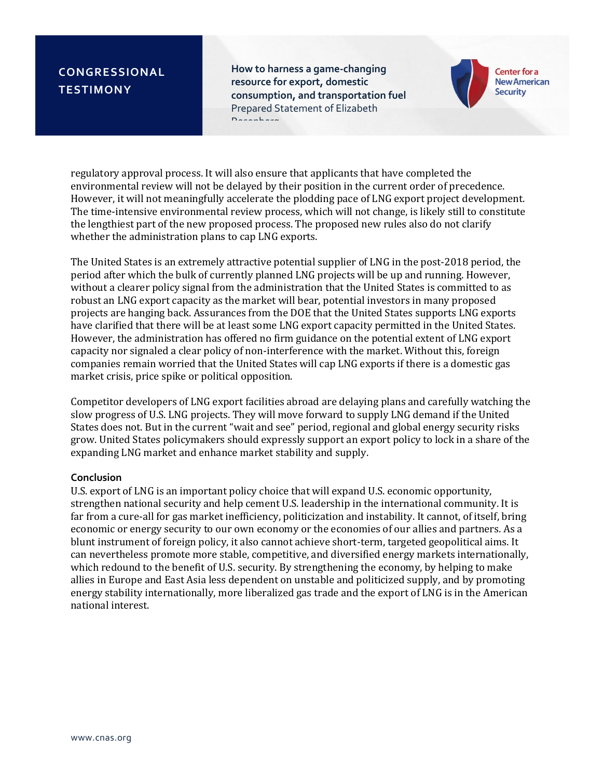**How to harness a game-changing resource for export, domestic consumption, and transportation fuel** Prepared Statement of Elizabeth Rosenberg



regulatory approval process. It will also ensure that applicants that have completed the environmental review will not be delayed by their position in the current order of precedence. However, it will not meaningfully accelerate the plodding pace of LNG export project development. The time-intensive environmental review process, which will not change, is likely still to constitute the lengthiest part of the new proposed process. The proposed new rules also do not clarify whether the administration plans to cap LNG exports.

The United States is an extremely attractive potential supplier of LNG in the post-2018 period, the period after which the bulk of currently planned LNG projects will be up and running. However, without a clearer policy signal from the administration that the United States is committed to as robust an LNG export capacity as the market will bear, potential investors in many proposed projects are hanging back. Assurances from the DOE that the United States supports LNG exports have clarified that there will be at least some LNG export capacity permitted in the United States. However, the administration has offered no firm guidance on the potential extent of LNG export capacity nor signaled a clear policy of non-interference with the market. Without this, foreign companies remain worried that the United States will cap LNG exports if there is a domestic gas market crisis, price spike or political opposition.

Competitor developers of LNG export facilities abroad are delaying plans and carefully watching the slow progress of U.S. LNG projects. They will move forward to supply LNG demand if the United States does not. But in the current "wait and see" period, regional and global energy security risks grow. United States policymakers should expressly support an export policy to lock in a share of the expanding LNG market and enhance market stability and supply.

#### **Conclusion**

U.S. export of LNG is an important policy choice that will expand U.S. economic opportunity, strengthen national security and help cement U.S. leadership in the international community. It is far from a cure-all for gas market inefficiency, politicization and instability. It cannot, of itself, bring economic or energy security to our own economy or the economies of our allies and partners. As a blunt instrument of foreign policy, it also cannot achieve short-term, targeted geopolitical aims. It can nevertheless promote more stable, competitive, and diversified energy markets internationally, which redound to the benefit of U.S. security. By strengthening the economy, by helping to make allies in Europe and East Asia less dependent on unstable and politicized supply, and by promoting energy stability internationally, more liberalized gas trade and the export of LNG is in the American national interest.